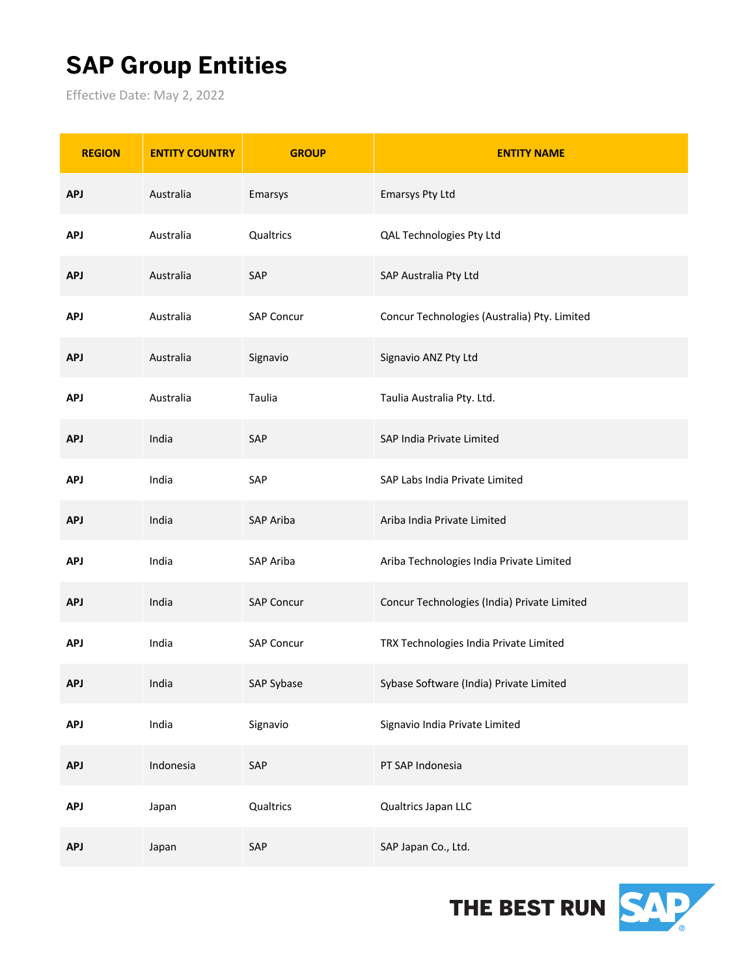## **SAP Group Entities**

Effective Date: May 2, 2022

| <b>REGION</b> | <b>ENTITY COUNTRY</b> | <b>GROUP</b>      | <b>ENTITY NAME</b>                           |
|---------------|-----------------------|-------------------|----------------------------------------------|
| <b>APJ</b>    | Australia             | Emarsys           | Emarsys Pty Ltd                              |
| <b>APJ</b>    | Australia             | Qualtrics         | QAL Technologies Pty Ltd                     |
| <b>APJ</b>    | Australia             | SAP               | SAP Australia Pty Ltd                        |
| <b>APJ</b>    | Australia             | <b>SAP Concur</b> | Concur Technologies (Australia) Pty. Limited |
| <b>APJ</b>    | Australia             | Signavio          | Signavio ANZ Pty Ltd                         |
| <b>APJ</b>    | Australia             | Taulia            | Taulia Australia Pty. Ltd.                   |
| <b>APJ</b>    | India                 | SAP               | SAP India Private Limited                    |
| <b>APJ</b>    | India                 | SAP               | SAP Labs India Private Limited               |
| <b>APJ</b>    | India                 | SAP Ariba         | Ariba India Private Limited                  |
| <b>APJ</b>    | India                 | SAP Ariba         | Ariba Technologies India Private Limited     |
| <b>APJ</b>    | India                 | <b>SAP Concur</b> | Concur Technologies (India) Private Limited  |
| <b>APJ</b>    | India                 | <b>SAP Concur</b> | TRX Technologies India Private Limited       |
| <b>APJ</b>    | India                 | SAP Sybase        | Sybase Software (India) Private Limited      |
| <b>APJ</b>    | India                 | Signavio          | Signavio India Private Limited               |
| <b>APJ</b>    | Indonesia             | SAP               | PT SAP Indonesia                             |
| <b>APJ</b>    | Japan                 | Qualtrics         | Qualtrics Japan LLC                          |
| <b>APJ</b>    | Japan                 | SAP               | SAP Japan Co., Ltd.                          |

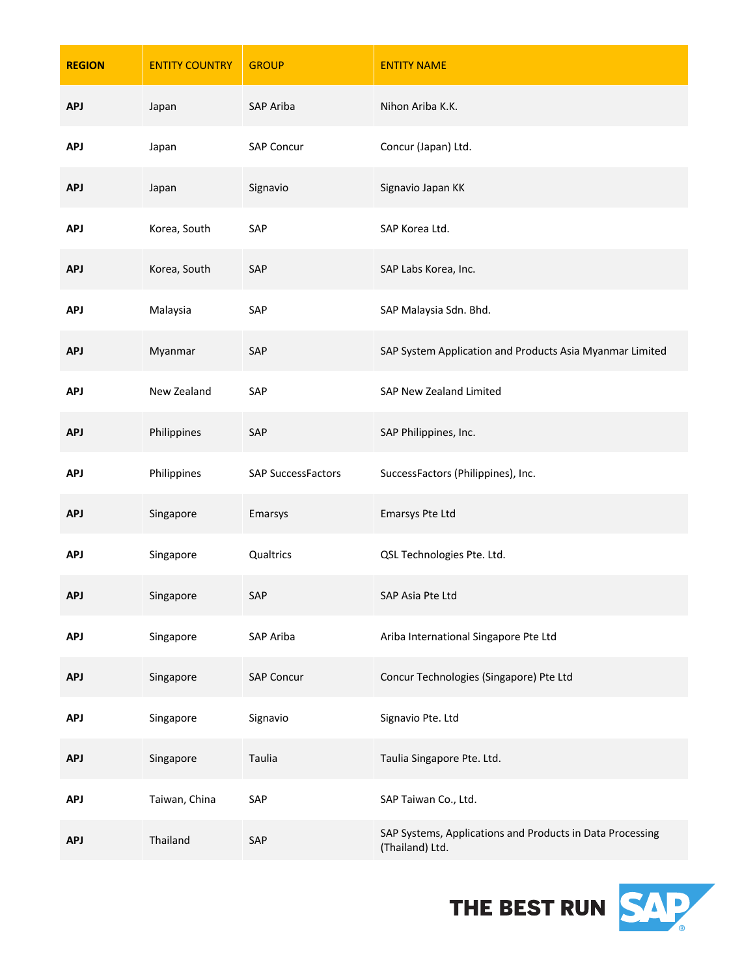| <b>REGION</b> | <b>ENTITY COUNTRY</b> | <b>GROUP</b>              | <b>ENTITY NAME</b>                                                           |
|---------------|-----------------------|---------------------------|------------------------------------------------------------------------------|
| <b>APJ</b>    | Japan                 | <b>SAP Ariba</b>          | Nihon Ariba K.K.                                                             |
| <b>APJ</b>    | Japan                 | <b>SAP Concur</b>         | Concur (Japan) Ltd.                                                          |
| <b>APJ</b>    | Japan                 | Signavio                  | Signavio Japan KK                                                            |
| <b>APJ</b>    | Korea, South          | SAP                       | SAP Korea Ltd.                                                               |
| <b>APJ</b>    | Korea, South          | SAP                       | SAP Labs Korea, Inc.                                                         |
| <b>APJ</b>    | Malaysia              | SAP                       | SAP Malaysia Sdn. Bhd.                                                       |
| <b>APJ</b>    | Myanmar               | SAP                       | SAP System Application and Products Asia Myanmar Limited                     |
| <b>APJ</b>    | New Zealand           | SAP                       | SAP New Zealand Limited                                                      |
| <b>APJ</b>    | Philippines           | SAP                       | SAP Philippines, Inc.                                                        |
| <b>APJ</b>    | Philippines           | <b>SAP SuccessFactors</b> | SuccessFactors (Philippines), Inc.                                           |
| <b>APJ</b>    | Singapore             | Emarsys                   | Emarsys Pte Ltd                                                              |
| <b>APJ</b>    | Singapore             | Qualtrics                 | QSL Technologies Pte. Ltd.                                                   |
| <b>APJ</b>    | Singapore             | SAP                       | SAP Asia Pte Ltd                                                             |
| <b>APJ</b>    | Singapore             | SAP Ariba                 | Ariba International Singapore Pte Ltd                                        |
| <b>APJ</b>    | Singapore             | <b>SAP Concur</b>         | Concur Technologies (Singapore) Pte Ltd                                      |
| <b>APJ</b>    | Singapore             | Signavio                  | Signavio Pte. Ltd                                                            |
| <b>APJ</b>    | Singapore             | Taulia                    | Taulia Singapore Pte. Ltd.                                                   |
| <b>APJ</b>    | Taiwan, China         | SAP                       | SAP Taiwan Co., Ltd.                                                         |
| <b>APJ</b>    | Thailand              | SAP                       | SAP Systems, Applications and Products in Data Processing<br>(Thailand) Ltd. |

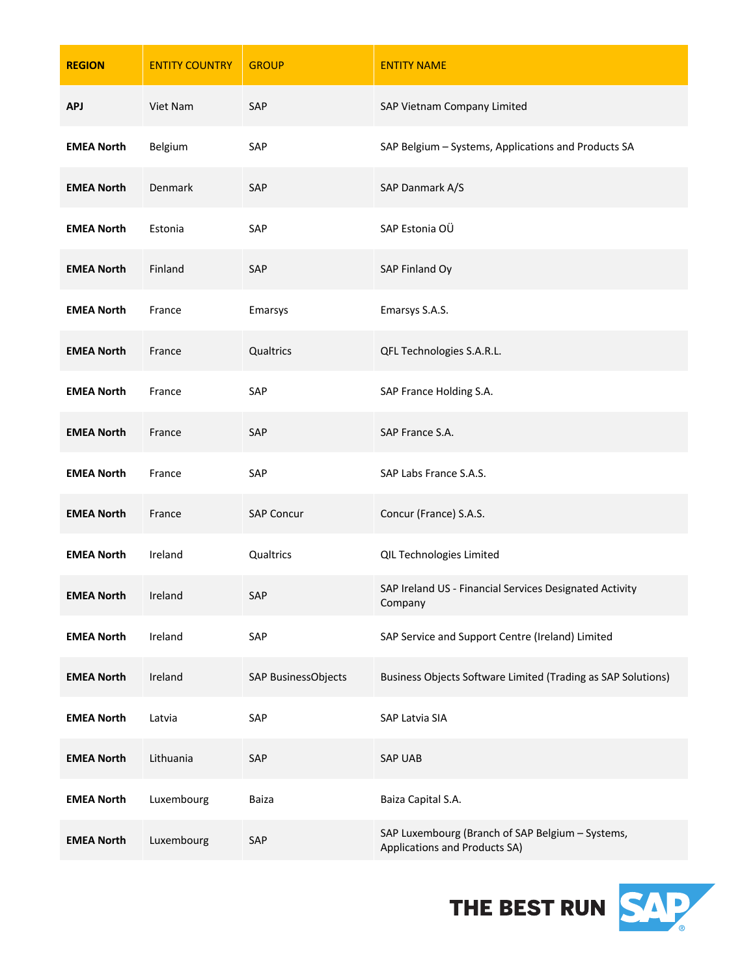| <b>REGION</b>     | <b>ENTITY COUNTRY</b> | <b>GROUP</b>        | <b>ENTITY NAME</b>                                                                |
|-------------------|-----------------------|---------------------|-----------------------------------------------------------------------------------|
| <b>APJ</b>        | Viet Nam              | SAP                 | SAP Vietnam Company Limited                                                       |
| <b>EMEA North</b> | Belgium               | SAP                 | SAP Belgium - Systems, Applications and Products SA                               |
| <b>EMEA North</b> | Denmark               | SAP                 | SAP Danmark A/S                                                                   |
| <b>EMEA North</b> | Estonia               | SAP                 | SAP Estonia OÜ                                                                    |
| <b>EMEA North</b> | Finland               | SAP                 | SAP Finland Oy                                                                    |
| <b>EMEA North</b> | France                | Emarsys             | Emarsys S.A.S.                                                                    |
| <b>EMEA North</b> | France                | Qualtrics           | QFL Technologies S.A.R.L.                                                         |
| <b>EMEA North</b> | France                | SAP                 | SAP France Holding S.A.                                                           |
| <b>EMEA North</b> | France                | SAP                 | SAP France S.A.                                                                   |
| <b>EMEA North</b> | France                | SAP                 | SAP Labs France S.A.S.                                                            |
| <b>EMEA North</b> | France                | <b>SAP Concur</b>   | Concur (France) S.A.S.                                                            |
| <b>EMEA North</b> | Ireland               | Qualtrics           | QIL Technologies Limited                                                          |
| <b>EMEA North</b> | Ireland               | SAP                 | SAP Ireland US - Financial Services Designated Activity<br>Company                |
| <b>EMEA North</b> | Ireland               | SAP                 | SAP Service and Support Centre (Ireland) Limited                                  |
| <b>EMEA North</b> | Ireland               | SAP BusinessObjects | Business Objects Software Limited (Trading as SAP Solutions)                      |
| <b>EMEA North</b> | Latvia                | SAP                 | SAP Latvia SIA                                                                    |
| <b>EMEA North</b> | Lithuania             | SAP                 | <b>SAP UAB</b>                                                                    |
| <b>EMEA North</b> | Luxembourg            | Baiza               | Baiza Capital S.A.                                                                |
| <b>EMEA North</b> | Luxembourg            | SAP                 | SAP Luxembourg (Branch of SAP Belgium - Systems,<br>Applications and Products SA) |

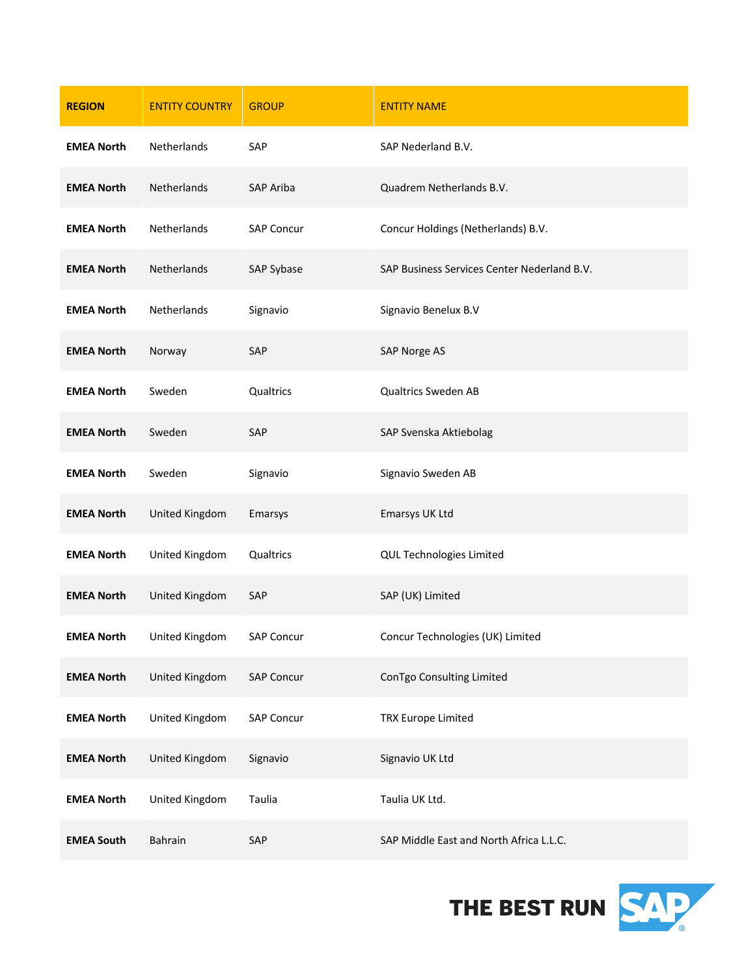| <b>REGION</b>     | <b>ENTITY COUNTRY</b> | <b>GROUP</b>      | <b>ENTITY NAME</b>                          |
|-------------------|-----------------------|-------------------|---------------------------------------------|
| <b>EMEA North</b> | Netherlands           | SAP               | SAP Nederland B.V.                          |
| <b>EMEA North</b> | Netherlands           | SAP Ariba         | Quadrem Netherlands B.V.                    |
| <b>EMEA North</b> | Netherlands           | <b>SAP Concur</b> | Concur Holdings (Netherlands) B.V.          |
| <b>EMEA North</b> | Netherlands           | SAP Sybase        | SAP Business Services Center Nederland B.V. |
| <b>EMEA North</b> | Netherlands           | Signavio          | Signavio Benelux B.V                        |
| <b>EMEA North</b> | Norway                | SAP               | SAP Norge AS                                |
| <b>EMEA North</b> | Sweden                | Qualtrics         | <b>Qualtrics Sweden AB</b>                  |
| <b>EMEA North</b> | Sweden                | SAP               | SAP Svenska Aktiebolag                      |
| <b>EMEA North</b> | Sweden                | Signavio          | Signavio Sweden AB                          |
| <b>EMEA North</b> | United Kingdom        | Emarsys           | Emarsys UK Ltd                              |
| <b>EMEA North</b> | United Kingdom        | Qualtrics         | QUL Technologies Limited                    |
| <b>EMEA North</b> | United Kingdom        | SAP               | SAP (UK) Limited                            |
| <b>EMEA North</b> | United Kingdom        | SAP Concur        | Concur Technologies (UK) Limited            |
| <b>EMEA North</b> | United Kingdom        | <b>SAP Concur</b> | ConTgo Consulting Limited                   |
| <b>EMEA North</b> | United Kingdom        | <b>SAP Concur</b> | <b>TRX Europe Limited</b>                   |
| <b>EMEA North</b> | United Kingdom        | Signavio          | Signavio UK Ltd                             |
| <b>EMEA North</b> | United Kingdom        | Taulia            | Taulia UK Ltd.                              |
| <b>EMEA South</b> | Bahrain               | SAP               | SAP Middle East and North Africa L.L.C.     |

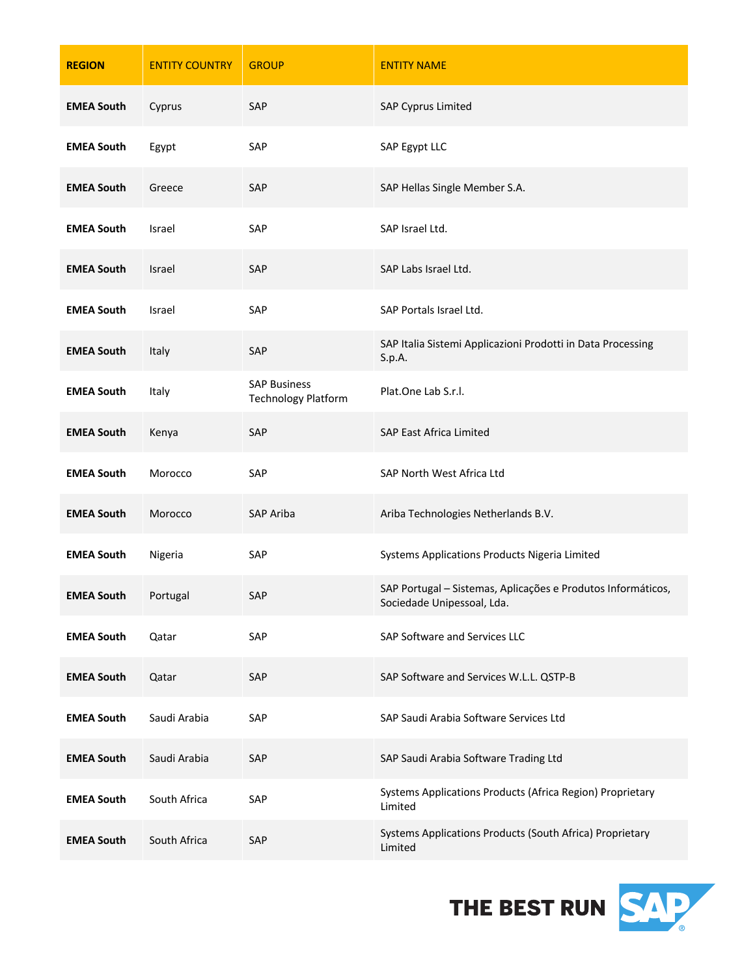| <b>REGION</b>              | <b>ENTITY COUNTRY</b> | <b>GROUP</b>                                      | <b>ENTITY NAME</b>                                                                         |
|----------------------------|-----------------------|---------------------------------------------------|--------------------------------------------------------------------------------------------|
| <b>EMEA South</b>          | Cyprus                | SAP                                               | <b>SAP Cyprus Limited</b>                                                                  |
| <b>EMEA South</b>          | Egypt                 | SAP                                               | SAP Egypt LLC                                                                              |
| <b>EMEA South</b>          | Greece                | SAP                                               | SAP Hellas Single Member S.A.                                                              |
| <b>EMEA South</b>          | Israel                | SAP                                               | SAP Israel Ltd.                                                                            |
| <b>EMEA South</b>          | Israel                | SAP                                               | SAP Labs Israel Ltd.                                                                       |
| <b>EMEA South</b>          | Israel                | SAP                                               | SAP Portals Israel Ltd.                                                                    |
| <b>EMEA South</b>          | Italy                 | SAP                                               | SAP Italia Sistemi Applicazioni Prodotti in Data Processing<br>S.p.A.                      |
| <b>EMEA South</b>          | Italy                 | <b>SAP Business</b><br><b>Technology Platform</b> | Plat.One Lab S.r.l.                                                                        |
| <b>EMEA South</b>          | Kenya                 | SAP                                               | SAP East Africa Limited                                                                    |
| <b>EMEA South</b>          | Morocco               | SAP                                               | SAP North West Africa Ltd                                                                  |
| <b>EMEA South</b>          | Morocco               | <b>SAP Ariba</b>                                  | Ariba Technologies Netherlands B.V.                                                        |
| <b>EMEA South</b>          | Nigeria               | SAP                                               | Systems Applications Products Nigeria Limited                                              |
| <b>EMEA South</b> Portugal |                       | SAP                                               | SAP Portugal - Sistemas, Aplicações e Produtos Informáticos,<br>Sociedade Unipessoal, Lda. |
| <b>EMEA South</b>          | Qatar                 | SAP                                               | SAP Software and Services LLC                                                              |
| <b>EMEA South</b>          | Qatar                 | SAP                                               | SAP Software and Services W.L.L. QSTP-B                                                    |
| <b>EMEA South</b>          | Saudi Arabia          | SAP                                               | SAP Saudi Arabia Software Services Ltd                                                     |
| <b>EMEA South</b>          | Saudi Arabia          | SAP                                               | SAP Saudi Arabia Software Trading Ltd                                                      |
| <b>EMEA South</b>          | South Africa          | SAP                                               | Systems Applications Products (Africa Region) Proprietary<br>Limited                       |
| <b>EMEA South</b>          | South Africa          | SAP                                               | Systems Applications Products (South Africa) Proprietary<br>Limited                        |

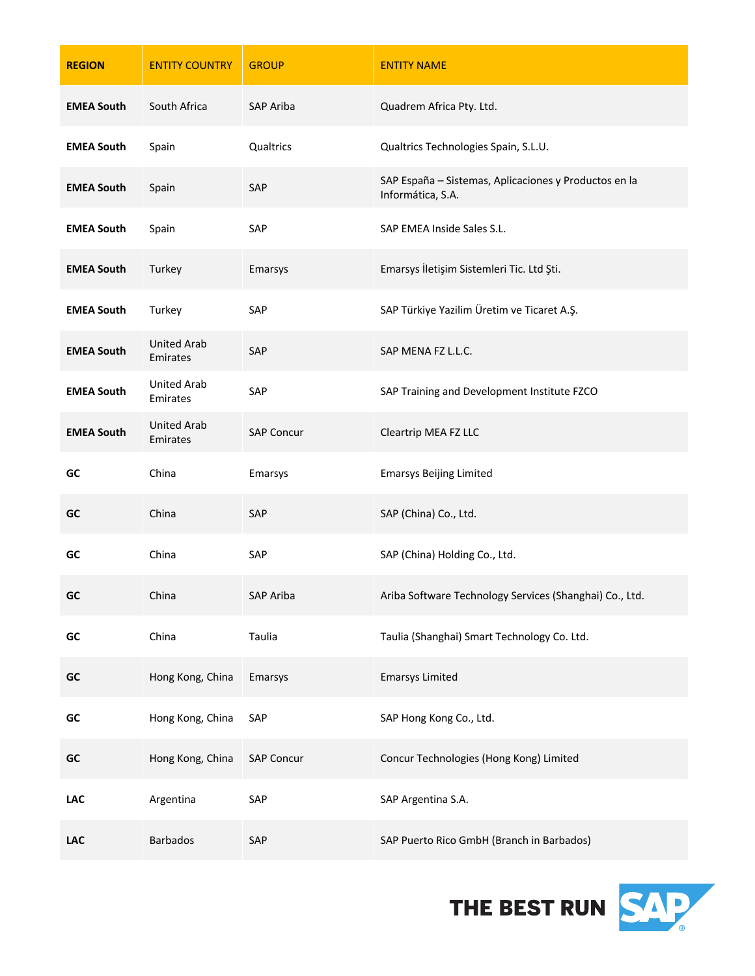| <b>REGION</b>     | <b>ENTITY COUNTRY</b>          | <b>GROUP</b>      | <b>ENTITY NAME</b>                                                         |
|-------------------|--------------------------------|-------------------|----------------------------------------------------------------------------|
| <b>EMEA South</b> | South Africa                   | SAP Ariba         | Quadrem Africa Pty. Ltd.                                                   |
| <b>EMEA South</b> | Spain                          | Qualtrics         | Qualtrics Technologies Spain, S.L.U.                                       |
| <b>EMEA South</b> | Spain                          | SAP               | SAP España - Sistemas, Aplicaciones y Productos en la<br>Informática, S.A. |
| <b>EMEA South</b> | Spain                          | SAP               | SAP EMEA Inside Sales S.L.                                                 |
| <b>EMEA South</b> | Turkey                         | Emarsys           | Emarsys İletişim Sistemleri Tic. Ltd Şti.                                  |
| <b>EMEA South</b> | Turkey                         | SAP               | SAP Türkiye Yazilim Üretim ve Ticaret A.Ş.                                 |
| <b>EMEA South</b> | <b>United Arab</b><br>Emirates | SAP               | SAP MENA FZ L.L.C.                                                         |
| <b>EMEA South</b> | <b>United Arab</b><br>Emirates | SAP               | SAP Training and Development Institute FZCO                                |
| <b>EMEA South</b> | <b>United Arab</b><br>Emirates | <b>SAP Concur</b> | Cleartrip MEA FZ LLC                                                       |
| GC                | China                          | Emarsys           | <b>Emarsys Beijing Limited</b>                                             |
| GC                | China                          | SAP               | SAP (China) Co., Ltd.                                                      |
| GC                | China                          | SAP               | SAP (China) Holding Co., Ltd.                                              |
| GC                | China                          | SAP Ariba         | Ariba Software Technology Services (Shanghai) Co., Ltd.                    |
| GC                | China                          | Taulia            | Taulia (Shanghai) Smart Technology Co. Ltd.                                |
| GC                | Hong Kong, China               | Emarsys           | <b>Emarsys Limited</b>                                                     |
| GC                | Hong Kong, China               | SAP               | SAP Hong Kong Co., Ltd.                                                    |
| GC                | Hong Kong, China               | <b>SAP Concur</b> | Concur Technologies (Hong Kong) Limited                                    |
| <b>LAC</b>        | Argentina                      | SAP               | SAP Argentina S.A.                                                         |
| <b>LAC</b>        | Barbados                       | SAP               | SAP Puerto Rico GmbH (Branch in Barbados)                                  |

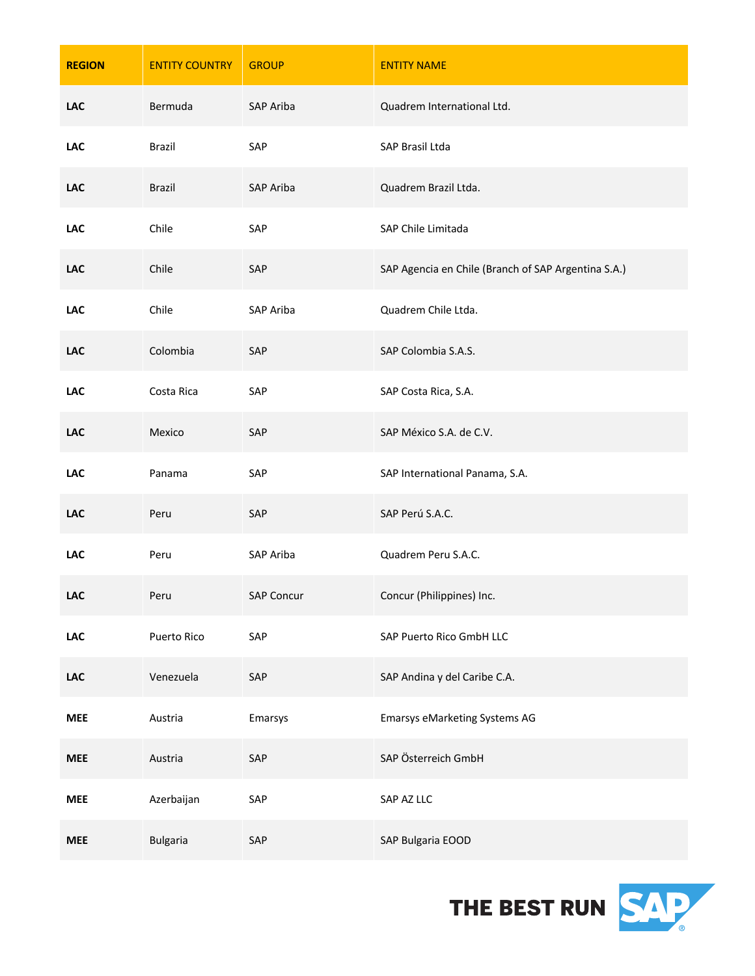| <b>REGION</b> | <b>ENTITY COUNTRY</b> | <b>GROUP</b>      | <b>ENTITY NAME</b>                                  |
|---------------|-----------------------|-------------------|-----------------------------------------------------|
| <b>LAC</b>    | Bermuda               | SAP Ariba         | Quadrem International Ltd.                          |
| <b>LAC</b>    | <b>Brazil</b>         | SAP               | SAP Brasil Ltda                                     |
| <b>LAC</b>    | <b>Brazil</b>         | SAP Ariba         | Quadrem Brazil Ltda.                                |
| LAC           | Chile                 | SAP               | SAP Chile Limitada                                  |
| <b>LAC</b>    | Chile                 | SAP               | SAP Agencia en Chile (Branch of SAP Argentina S.A.) |
| <b>LAC</b>    | Chile                 | SAP Ariba         | Quadrem Chile Ltda.                                 |
| <b>LAC</b>    | Colombia              | SAP               | SAP Colombia S.A.S.                                 |
| LAC           | Costa Rica            | SAP               | SAP Costa Rica, S.A.                                |
| <b>LAC</b>    | Mexico                | SAP               | SAP México S.A. de C.V.                             |
| <b>LAC</b>    | Panama                | SAP               | SAP International Panama, S.A.                      |
| <b>LAC</b>    | Peru                  | SAP               | SAP Perú S.A.C.                                     |
| <b>LAC</b>    | Peru                  | SAP Ariba         | Quadrem Peru S.A.C.                                 |
| <b>LAC</b>    | Peru                  | <b>SAP Concur</b> | Concur (Philippines) Inc.                           |
| LAC           | Puerto Rico           | SAP               | SAP Puerto Rico GmbH LLC                            |
| <b>LAC</b>    | Venezuela             | SAP               | SAP Andina y del Caribe C.A.                        |
| <b>MEE</b>    | Austria               | Emarsys           | Emarsys eMarketing Systems AG                       |
| <b>MEE</b>    | Austria               | SAP               | SAP Österreich GmbH                                 |
| <b>MEE</b>    | Azerbaijan            | SAP               | SAP AZ LLC                                          |
| <b>MEE</b>    | <b>Bulgaria</b>       | SAP               | SAP Bulgaria EOOD                                   |

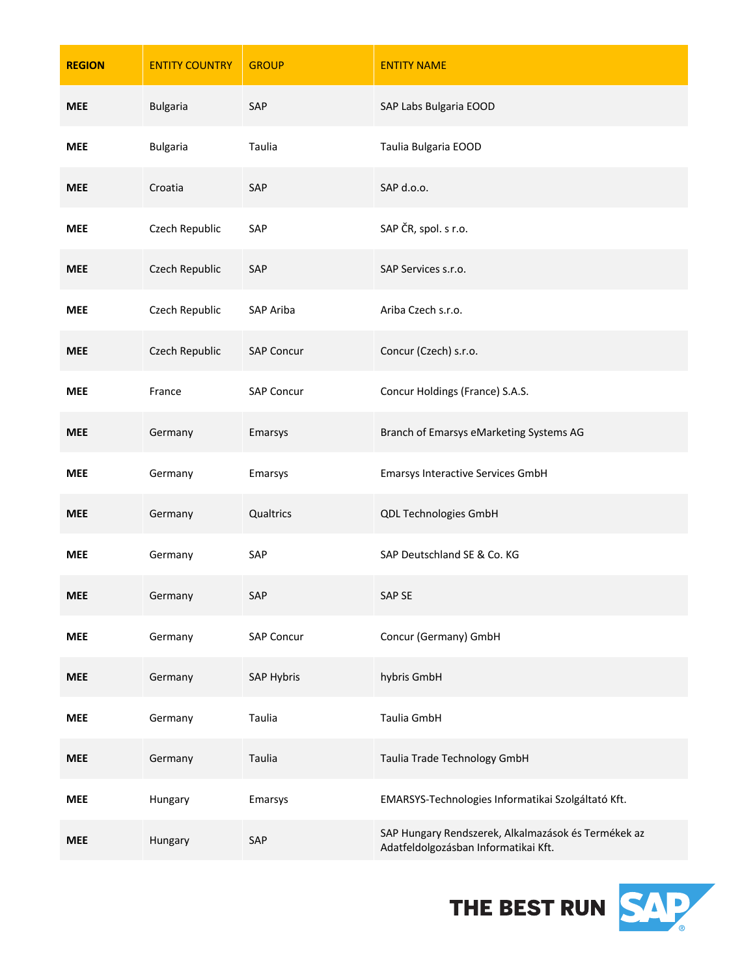| <b>REGION</b> | <b>ENTITY COUNTRY</b> | <b>GROUP</b>      | <b>ENTITY NAME</b>                                                                          |
|---------------|-----------------------|-------------------|---------------------------------------------------------------------------------------------|
| <b>MEE</b>    | <b>Bulgaria</b>       | SAP               | SAP Labs Bulgaria EOOD                                                                      |
| <b>MEE</b>    | <b>Bulgaria</b>       | Taulia            | Taulia Bulgaria EOOD                                                                        |
| <b>MEE</b>    | Croatia               | SAP               | SAP d.o.o.                                                                                  |
| <b>MEE</b>    | Czech Republic        | SAP               | SAP ČR, spol. s r.o.                                                                        |
| <b>MEE</b>    | Czech Republic        | SAP               | SAP Services s.r.o.                                                                         |
| <b>MEE</b>    | Czech Republic        | SAP Ariba         | Ariba Czech s.r.o.                                                                          |
| <b>MEE</b>    | Czech Republic        | <b>SAP Concur</b> | Concur (Czech) s.r.o.                                                                       |
| <b>MEE</b>    | France                | <b>SAP Concur</b> | Concur Holdings (France) S.A.S.                                                             |
| <b>MEE</b>    | Germany               | Emarsys           | Branch of Emarsys eMarketing Systems AG                                                     |
| <b>MEE</b>    | Germany               | Emarsys           | <b>Emarsys Interactive Services GmbH</b>                                                    |
| <b>MEE</b>    | Germany               | Qualtrics         | QDL Technologies GmbH                                                                       |
| <b>MEE</b>    | Germany               | SAP               | SAP Deutschland SE & Co. KG                                                                 |
| <b>MEE</b>    | Germany               | SAP               | SAP SE                                                                                      |
| <b>MEE</b>    | Germany               | <b>SAP Concur</b> | Concur (Germany) GmbH                                                                       |
| <b>MEE</b>    | Germany               | SAP Hybris        | hybris GmbH                                                                                 |
| <b>MEE</b>    | Germany               | Taulia            | Taulia GmbH                                                                                 |
| <b>MEE</b>    | Germany               | Taulia            | Taulia Trade Technology GmbH                                                                |
| <b>MEE</b>    | Hungary               | Emarsys           | EMARSYS-Technologies Informatikai Szolgáltató Kft.                                          |
| <b>MEE</b>    | Hungary               | SAP               | SAP Hungary Rendszerek, Alkalmazások és Termékek az<br>Adatfeldolgozásban Informatikai Kft. |

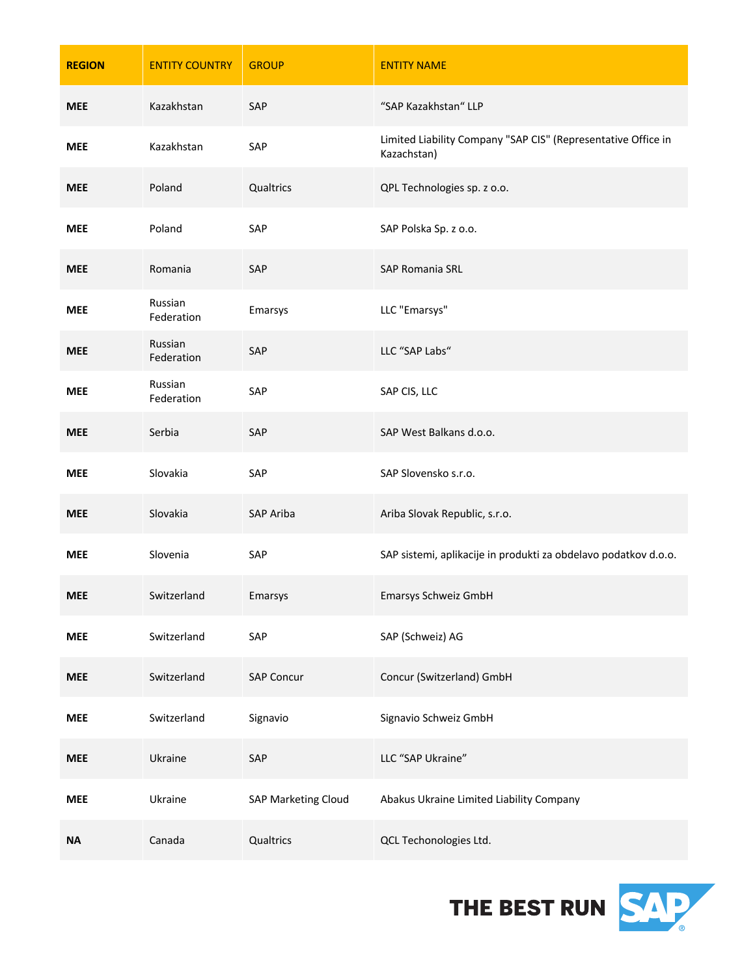| <b>REGION</b> | <b>ENTITY COUNTRY</b> | <b>GROUP</b>        | <b>ENTITY NAME</b>                                                           |
|---------------|-----------------------|---------------------|------------------------------------------------------------------------------|
| <b>MEE</b>    | Kazakhstan            | SAP                 | "SAP Kazakhstan" LLP                                                         |
| <b>MEE</b>    | Kazakhstan            | SAP                 | Limited Liability Company "SAP CIS" (Representative Office in<br>Kazachstan) |
| <b>MEE</b>    | Poland                | Qualtrics           | QPL Technologies sp. z o.o.                                                  |
| MEE           | Poland                | SAP                 | SAP Polska Sp. z o.o.                                                        |
| <b>MEE</b>    | Romania               | SAP                 | SAP Romania SRL                                                              |
| <b>MEE</b>    | Russian<br>Federation | Emarsys             | LLC "Emarsys"                                                                |
| <b>MEE</b>    | Russian<br>Federation | SAP                 | LLC "SAP Labs"                                                               |
| <b>MEE</b>    | Russian<br>Federation | SAP                 | SAP CIS, LLC                                                                 |
| <b>MEE</b>    | Serbia                | SAP                 | SAP West Balkans d.o.o.                                                      |
| <b>MEE</b>    | Slovakia              | SAP                 | SAP Slovensko s.r.o.                                                         |
| <b>MEE</b>    | Slovakia              | SAP Ariba           | Ariba Slovak Republic, s.r.o.                                                |
| MEE           | Slovenia              | SAP                 | SAP sistemi, aplikacije in produkti za obdelavo podatkov d.o.o.              |
| <b>MEE</b>    | Switzerland           | Emarsys             | Emarsys Schweiz GmbH                                                         |
| <b>MEE</b>    | Switzerland           | SAP                 | SAP (Schweiz) AG                                                             |
| <b>MEE</b>    | Switzerland           | <b>SAP Concur</b>   | Concur (Switzerland) GmbH                                                    |
| <b>MEE</b>    | Switzerland           | Signavio            | Signavio Schweiz GmbH                                                        |
| <b>MEE</b>    | Ukraine               | SAP                 | LLC "SAP Ukraine"                                                            |
| <b>MEE</b>    | Ukraine               | SAP Marketing Cloud | Abakus Ukraine Limited Liability Company                                     |
| <b>NA</b>     | Canada                | Qualtrics           | QCL Techonologies Ltd.                                                       |

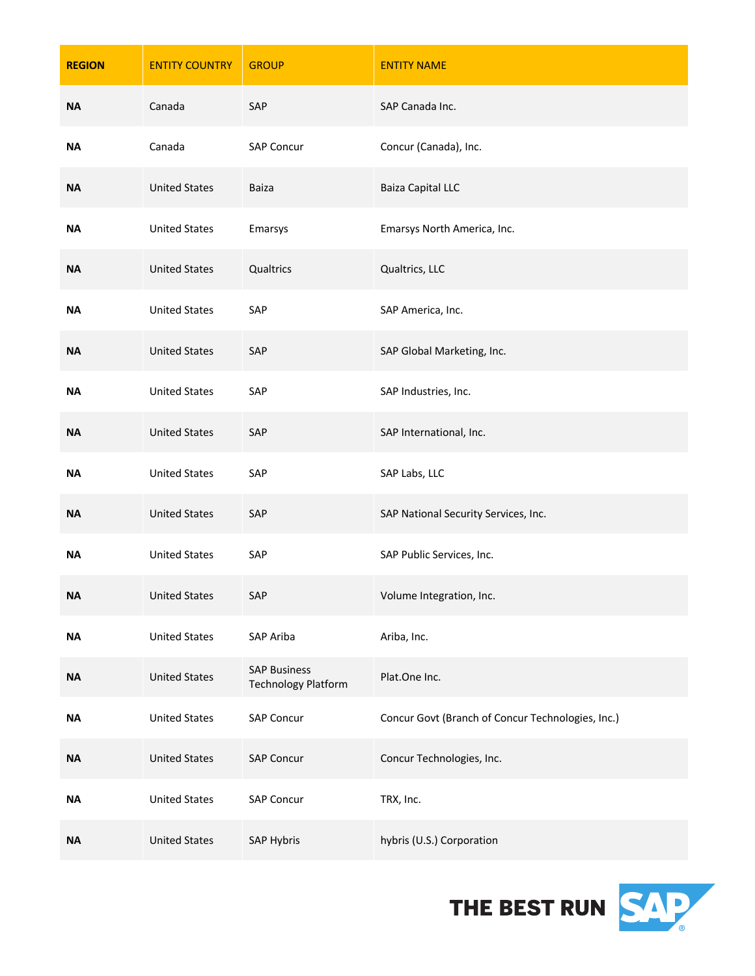| <b>REGION</b> | <b>ENTITY COUNTRY</b> | <b>GROUP</b>                                      | <b>ENTITY NAME</b>                                |
|---------------|-----------------------|---------------------------------------------------|---------------------------------------------------|
| <b>NA</b>     | Canada                | SAP                                               | SAP Canada Inc.                                   |
| ΝA            | Canada                | <b>SAP Concur</b>                                 | Concur (Canada), Inc.                             |
| <b>NA</b>     | <b>United States</b>  | <b>Baiza</b>                                      | <b>Baiza Capital LLC</b>                          |
| ΝA            | <b>United States</b>  | Emarsys                                           | Emarsys North America, Inc.                       |
| <b>NA</b>     | <b>United States</b>  | Qualtrics                                         | Qualtrics, LLC                                    |
| <b>NA</b>     | <b>United States</b>  | SAP                                               | SAP America, Inc.                                 |
| <b>NA</b>     | <b>United States</b>  | SAP                                               | SAP Global Marketing, Inc.                        |
| ΝA            | <b>United States</b>  | SAP                                               | SAP Industries, Inc.                              |
| <b>NA</b>     | <b>United States</b>  | SAP                                               | SAP International, Inc.                           |
| ΝA            | <b>United States</b>  | SAP                                               | SAP Labs, LLC                                     |
| <b>NA</b>     | <b>United States</b>  | SAP                                               | SAP National Security Services, Inc.              |
| ΝA            | <b>United States</b>  | SAP                                               | SAP Public Services, Inc.                         |
| <b>NA</b>     | <b>United States</b>  | SAP                                               | Volume Integration, Inc.                          |
| <b>NA</b>     | <b>United States</b>  | SAP Ariba                                         | Ariba, Inc.                                       |
| $\sf NA$      | <b>United States</b>  | <b>SAP Business</b><br><b>Technology Platform</b> | Plat.One Inc.                                     |
| <b>NA</b>     | <b>United States</b>  | SAP Concur                                        | Concur Govt (Branch of Concur Technologies, Inc.) |
| $\sf NA$      | <b>United States</b>  | <b>SAP Concur</b>                                 | Concur Technologies, Inc.                         |
| <b>NA</b>     | <b>United States</b>  | <b>SAP Concur</b>                                 | TRX, Inc.                                         |
| <b>NA</b>     | <b>United States</b>  | SAP Hybris                                        | hybris (U.S.) Corporation                         |